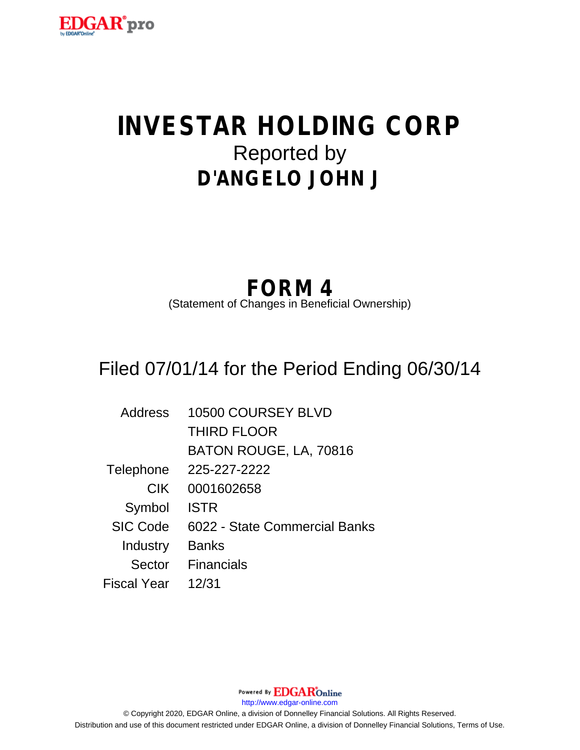

# **INVESTAR HOLDING CORP** Reported by **D'ANGELO JOHN J**

## **FORM 4**

(Statement of Changes in Beneficial Ownership)

## Filed 07/01/14 for the Period Ending 06/30/14

| <b>Address</b>  | 10500 COURSEY BLVD            |
|-----------------|-------------------------------|
|                 | <b>THIRD FLOOR</b>            |
|                 | BATON ROUGE, LA, 70816        |
| Telephone       | 225-227-2222                  |
| <b>CIK</b>      | 0001602658                    |
| Symbol          | <b>ISTR</b>                   |
| <b>SIC Code</b> | 6022 - State Commercial Banks |
| Industry        | <b>Banks</b>                  |
| Sector          | <b>Financials</b>             |
| Fiscal Year     | 12/31                         |

Powered By **EDGAR**Online http://www.edgar-online.com © Copyright 2020, EDGAR Online, a division of Donnelley Financial Solutions. All Rights Reserved. Distribution and use of this document restricted under EDGAR Online, a division of Donnelley Financial Solutions, Terms of Use.